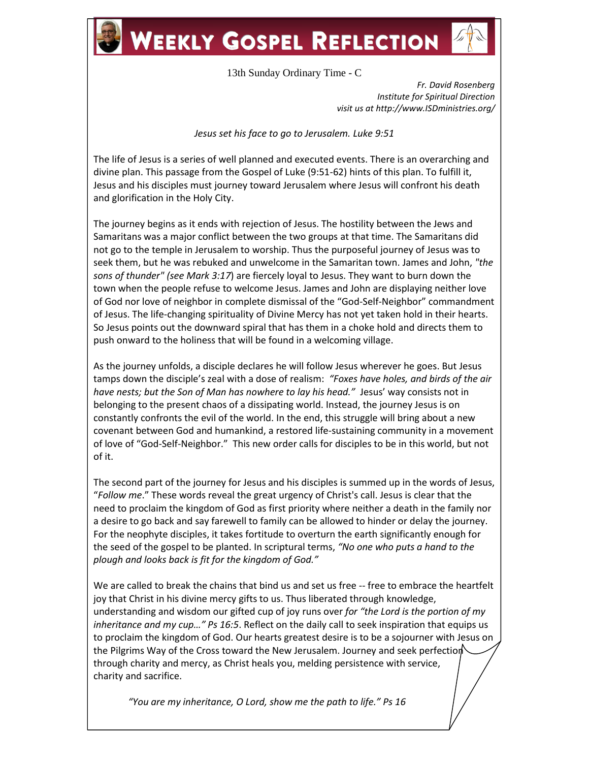## **WEEKLY GOSPEL REFLECTION**



13th Sunday Ordinary Time - C

*Fr. David Rosenberg Institute for Spiritual Direction visit us at http://www.ISDministries.org/*

*Jesus set his face to go to Jerusalem. Luke 9:51*

The life of Jesus is a series of well planned and executed events. There is an overarching and divine plan. This passage from the Gospel of Luke (9:51-62) hints of this plan. To fulfill it, Jesus and his disciples must journey toward Jerusalem where Jesus will confront his death and glorification in the Holy City.

The journey begins as it ends with rejection of Jesus. The hostility between the Jews and Samaritans was a major conflict between the two groups at that time. The Samaritans did not go to the temple in Jerusalem to worship. Thus the purposeful journey of Jesus was to seek them, but he was rebuked and unwelcome in the Samaritan town. James and John, *"the sons of thunder" (see Mark 3:17*) are fiercely loyal to Jesus. They want to burn down the town when the people refuse to welcome Jesus. James and John are displaying neither love of God nor love of neighbor in complete dismissal of the "God-Self-Neighbor" commandment of Jesus. The life-changing spirituality of Divine Mercy has not yet taken hold in their hearts. So Jesus points out the downward spiral that has them in a choke hold and directs them to push onward to the holiness that will be found in a welcoming village.

As the journey unfolds, a disciple declares he will follow Jesus wherever he goes. But Jesus tamps down the disciple's zeal with a dose of realism: *"Foxes have holes, and birds of the air have nests; but the Son of Man has nowhere to lay his head."* Jesus' way consists not in belonging to the present chaos of a dissipating world. Instead, the journey Jesus is on constantly confronts the evil of the world. In the end, this struggle will bring about a new covenant between God and humankind, a restored life-sustaining community in a movement of love of "God-Self-Neighbor." This new order calls for disciples to be in this world, but not of it.

The second part of the journey for Jesus and his disciples is summed up in the words of Jesus, "*Follow me*." These words reveal the great urgency of Christ's call. Jesus is clear that the need to proclaim the kingdom of God as first priority where neither a death in the family nor a desire to go back and say farewell to family can be allowed to hinder or delay the journey. For the neophyte disciples, it takes fortitude to overturn the earth significantly enough for the seed of the gospel to be planted. In scriptural terms, *"No one who puts a hand to the plough and looks back is fit for the kingdom of God."*

We are called to break the chains that bind us and set us free -- free to embrace the heartfelt joy that Christ in his divine mercy gifts to us. Thus liberated through knowledge, understanding and wisdom our gifted cup of joy runs over *for "the Lord is the portion of my inheritance and my cup…" Ps 16:5*. Reflect on the daily call to seek inspiration that equips us to proclaim the kingdom of God. Our hearts greatest desire is to be a sojourner with Jesus on the Pilgrims Way of the Cross toward the New Jerusalem. Journey and seek perfection through charity and mercy, as Christ heals you, melding persistence with service, charity and sacrifice.

 *"You are my inheritance, O Lord, show me the path to life." Ps 16*